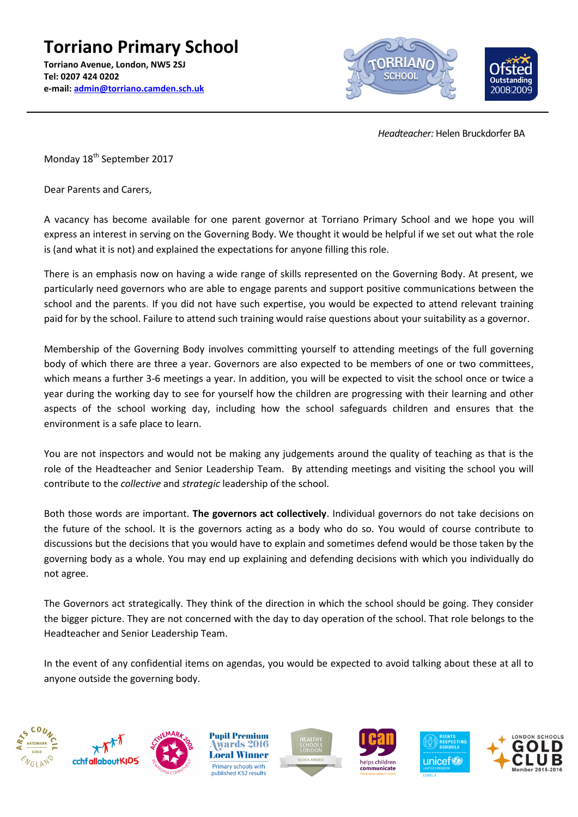

 *Headteacher:* Helen Bruckdorfer BA

Monday 18<sup>th</sup> September 2017

Dear Parents and Carers,

A vacancy has become available for one parent governor at Torriano Primary School and we hope you will express an interest in serving on the Governing Body. We thought it would be helpful if we set out what the role is (and what it is not) and explained the expectations for anyone filling this role.

There is an emphasis now on having a wide range of skills represented on the Governing Body. At present, we particularly need governors who are able to engage parents and support positive communications between the school and the parents. If you did not have such expertise, you would be expected to attend relevant training paid for by the school. Failure to attend such training would raise questions about your suitability as a governor.

Membership of the Governing Body involves committing yourself to attending meetings of the full governing body of which there are three a year. Governors are also expected to be members of one or two committees, which means a further 3-6 meetings a year. In addition, you will be expected to visit the school once or twice a year during the working day to see for yourself how the children are progressing with their learning and other aspects of the school working day, including how the school safeguards children and ensures that the environment is a safe place to learn.

You are not inspectors and would not be making any judgements around the quality of teaching as that is the role of the Headteacher and Senior Leadership Team. By attending meetings and visiting the school you will contribute to the *collective* and *strategic* leadership of the school.

Both those words are important. **The governors act collectively**. Individual governors do not take decisions on the future of the school. It is the governors acting as a body who do so. You would of course contribute to discussions but the decisions that you would have to explain and sometimes defend would be those taken by the governing body as a whole. You may end up explaining and defending decisions with which you individually do not agree.

The Governors act strategically. They think of the direction in which the school should be going. They consider the bigger picture. They are not concerned with the day to day operation of the school. That role belongs to the Headteacher and Senior Leadership Team.

In the event of any confidential items on agendas, you would be expected to avoid talking about these at all to anyone outside the governing body.













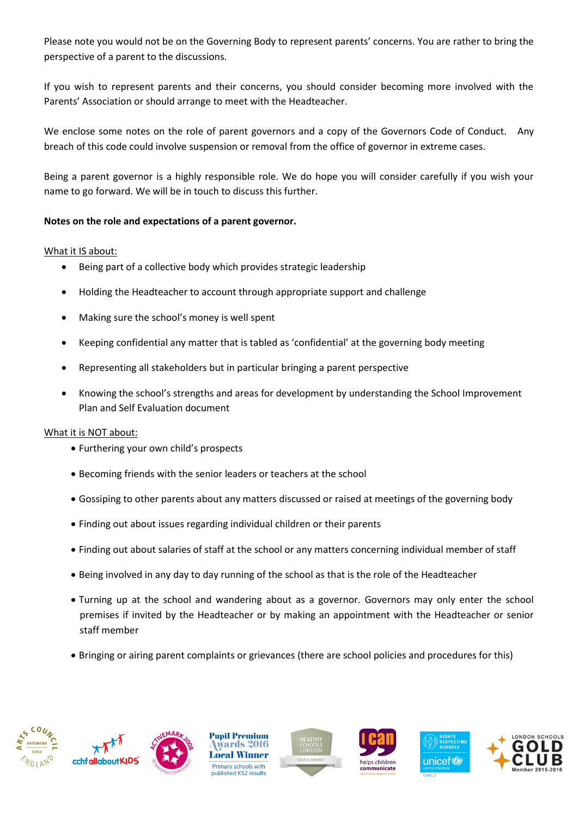Please note you would not be on the Governing Body to represent parents' concerns. You are rather to bring the perspective of a parent to the discussions.

If you wish to represent parents and their concerns, you should consider becoming more involved with the Parents' Association or should arrange to meet with the Headteacher.

We enclose some notes on the role of parent governors and a copy of the Governors Code of Conduct. Any breach of this code could involve suspension or removal from the office of governor in extreme cases.

Being a parent governor is a highly responsible role. We do hope you will consider carefully if you wish your name to go forward. We will be in touch to discuss this further.

## **Notes on the role and expectations of a parent governor.**

### What it IS about:

- Being part of a collective body which provides strategic leadership
- Holding the Headteacher to account through appropriate support and challenge
- Making sure the school's money is well spent
- Keeping confidential any matter that is tabled as 'confidential' at the governing body meeting
- Representing all stakeholders but in particular bringing a parent perspective
- Knowing the school's strengths and areas for development by understanding the School Improvement Plan and Self Evaluation document

### What it is NOT about:

- Furthering your own child's prospects
- Becoming friends with the senior leaders or teachers at the school
- Gossiping to other parents about any matters discussed or raised at meetings of the governing body
- Finding out about issues regarding individual children or their parents
- Finding out about salaries of staff at the school or any matters concerning individual member of staff
- Being involved in any day to day running of the school as that is the role of the Headteacher
- Turning up at the school and wandering about as a governor. Governors may only enter the school premises if invited by the Headteacher or by making an appointment with the Headteacher or senior staff member
- Bringing or airing parent complaints or grievances (there are school policies and procedures for this)













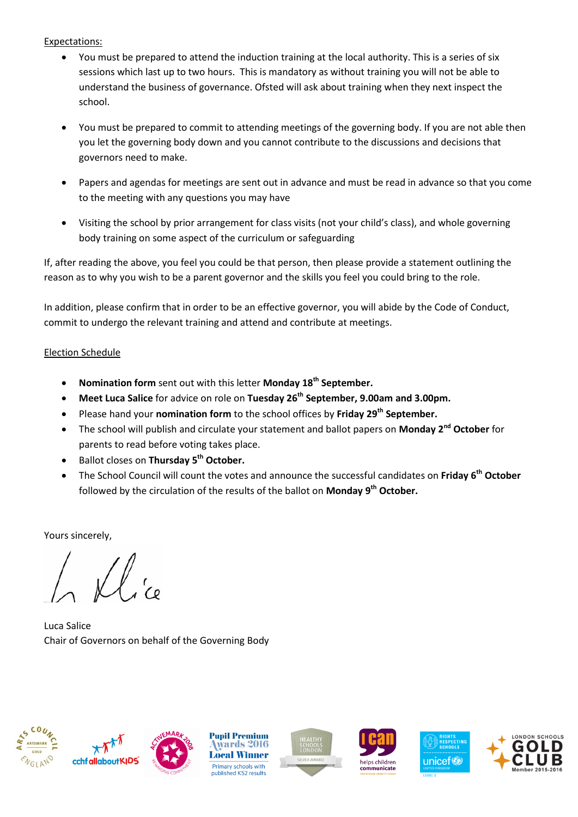#### Expectations:

- You must be prepared to attend the induction training at the local authority. This is a series of six sessions which last up to two hours. This is mandatory as without training you will not be able to understand the business of governance. Ofsted will ask about training when they next inspect the school.
- You must be prepared to commit to attending meetings of the governing body. If you are not able then you let the governing body down and you cannot contribute to the discussions and decisions that governors need to make.
- Papers and agendas for meetings are sent out in advance and must be read in advance so that you come to the meeting with any questions you may have
- Visiting the school by prior arrangement for class visits (not your child's class), and whole governing body training on some aspect of the curriculum or safeguarding

If, after reading the above, you feel you could be that person, then please provide a statement outlining the reason as to why you wish to be a parent governor and the skills you feel you could bring to the role.

In addition, please confirm that in order to be an effective governor, you will abide by the Code of Conduct, commit to undergo the relevant training and attend and contribute at meetings.

## Election Schedule

- **Nomination form** sent out with this letter **Monday 18th September.**
- **Meet Luca Salice** for advice on role on **Tuesday 26th September, 9.00am and 3.00pm.**
- Please hand your **nomination form** to the school offices by **Friday 29th September.**
- **•** The school will publish and circulate your statement and ballot papers on **Monday 2<sup>nd</sup> October** for parents to read before voting takes place.
- Ballot closes on **Thursday 5 th October.**
- The School Council will count the votes and announce the successful candidates on **Friday 6 th October** followed by the circulation of the results of the ballot on **Monday 9 th October.**

Yours sincerely,

Luca Salice Chair of Governors on behalf of the Governing Body







**Pupil Premium** wards 2016 **Local Winner** Primary schools with